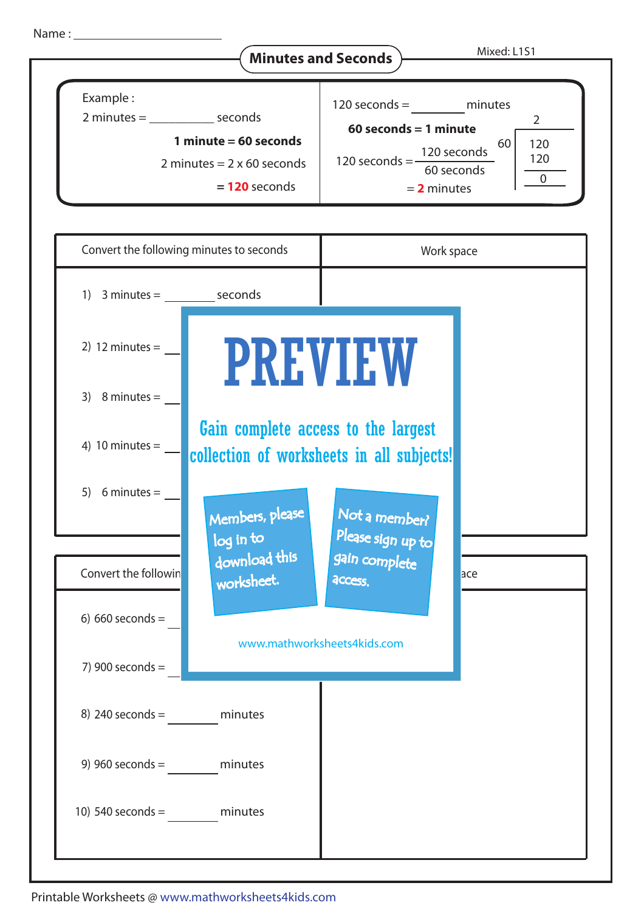

8) 240 seconds = minutes

9) 960 seconds = minutes

10) 540 seconds = minutes